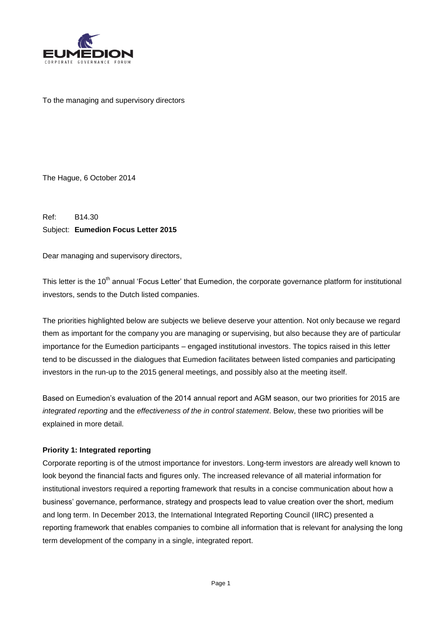

To the managing and supervisory directors

The Hague, 6 October 2014

Ref: B14.30 Subject: **Eumedion Focus Letter 2015**

Dear managing and supervisory directors,

This letter is the 10<sup>th</sup> annual 'Focus Letter' that Eumedion, the corporate governance platform for institutional investors, sends to the Dutch listed companies.

The priorities highlighted below are subjects we believe deserve your attention. Not only because we regard them as important for the company you are managing or supervising, but also because they are of particular importance for the Eumedion participants – engaged institutional investors. The topics raised in this letter tend to be discussed in the dialogues that Eumedion facilitates between listed companies and participating investors in the run-up to the 2015 general meetings, and possibly also at the meeting itself.

Based on Eumedion's evaluation of the 2014 annual report and AGM season, our two priorities for 2015 are *integrated reporting* and the *effectiveness of the in control statement*. Below, these two priorities will be explained in more detail.

## **Priority 1: Integrated reporting**

Corporate reporting is of the utmost importance for investors. Long-term investors are already well known to look beyond the financial facts and figures only. The increased relevance of all material information for institutional investors required a reporting framework that results in a concise communication about how a business' governance, performance, strategy and prospects lead to value creation over the short, medium and long term. In December 2013, the International Integrated Reporting Council (IIRC) presented a reporting framework that enables companies to combine all information that is relevant for analysing the long term development of the company in a single, integrated report.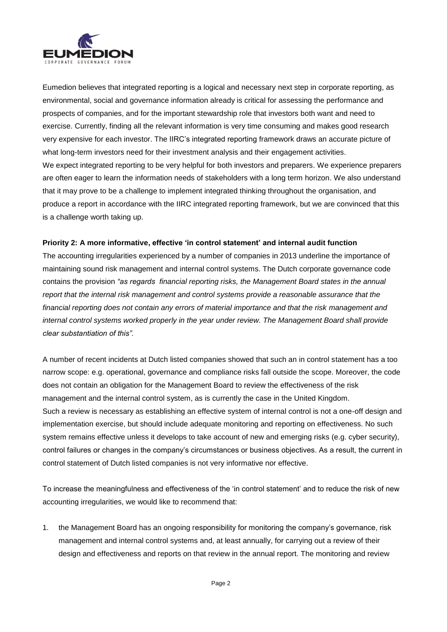

Eumedion believes that integrated reporting is a logical and necessary next step in corporate reporting, as environmental, social and governance information already is critical for assessing the performance and prospects of companies, and for the important stewardship role that investors both want and need to exercise. Currently, finding all the relevant information is very time consuming and makes good research very expensive for each investor. The IIRC's integrated reporting framework draws an accurate picture of what long-term investors need for their investment analysis and their engagement activities. We expect integrated reporting to be very helpful for both investors and preparers. We experience preparers are often eager to learn the information needs of stakeholders with a long term horizon. We also understand that it may prove to be a challenge to implement integrated thinking throughout the organisation, and produce a report in accordance with the IIRC integrated reporting framework, but we are convinced that this is a challenge worth taking up.

## **Priority 2: A more informative, effective 'in control statement' and internal audit function**

The accounting irregularities experienced by a number of companies in 2013 underline the importance of maintaining sound risk management and internal control systems. The Dutch corporate governance code contains the provision *"as regards financial reporting risks, the Management Board states in the annual*  report that the internal risk management and control systems provide a reasonable assurance that the *financial reporting does not contain any errors of material importance and that the risk management and internal control systems worked properly in the year under review. The Management Board shall provide clear substantiation of this".* 

A number of recent incidents at Dutch listed companies showed that such an in control statement has a too narrow scope: e.g. operational, governance and compliance risks fall outside the scope. Moreover, the code does not contain an obligation for the Management Board to review the effectiveness of the risk management and the internal control system, as is currently the case in the United Kingdom. Such a review is necessary as establishing an effective system of internal control is not a one-off design and implementation exercise, but should include adequate monitoring and reporting on effectiveness. No such system remains effective unless it develops to take account of new and emerging risks (e.g. cyber security), control failures or changes in the company's circumstances or business objectives. As a result, the current in control statement of Dutch listed companies is not very informative nor effective.

To increase the meaningfulness and effectiveness of the 'in control statement' and to reduce the risk of new accounting irregularities, we would like to recommend that:

1. the Management Board has an ongoing responsibility for monitoring the company's governance, risk management and internal control systems and, at least annually, for carrying out a review of their design and effectiveness and reports on that review in the annual report. The monitoring and review